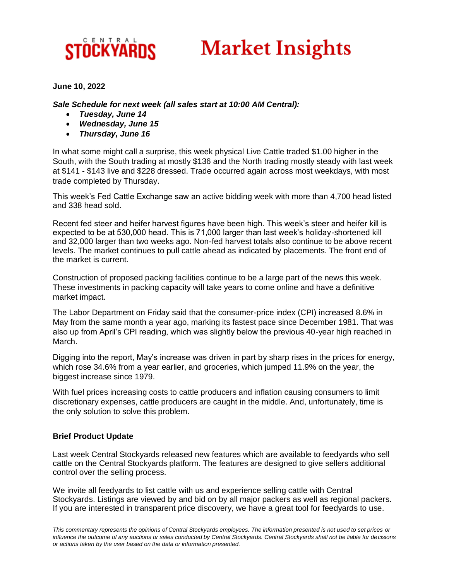## CENTRAL STOCKYARDS

# **Market Insights**

#### **June 10, 2022**

*Sale Schedule for next week (all sales start at 10:00 AM Central):*

- *Tuesday, June 14*
- *Wednesday, June 15*
- *Thursday, June 16*

In what some might call a surprise, this week physical Live Cattle traded \$1.00 higher in the South, with the South trading at mostly \$136 and the North trading mostly steady with last week at \$141 - \$143 live and \$228 dressed. Trade occurred again across most weekdays, with most trade completed by Thursday.

This week's Fed Cattle Exchange saw an active bidding week with more than 4,700 head listed and 338 head sold.

Recent fed steer and heifer harvest figures have been high. This week's steer and heifer kill is expected to be at 530,000 head. This is 71,000 larger than last week's holiday-shortened kill and 32,000 larger than two weeks ago. Non-fed harvest totals also continue to be above recent levels. The market continues to pull cattle ahead as indicated by placements. The front end of the market is current.

Construction of proposed packing facilities continue to be a large part of the news this week. These investments in packing capacity will take years to come online and have a definitive market impact.

The Labor Department on Friday said that the consumer-price index (CPI) increased 8.6% in May from the same month a year ago, marking its fastest pace since December 1981. That was also up from April's CPI reading, which was slightly below the previous 40-year high reached in March.

Digging into the report, May's increase was driven in part by sharp rises in the prices for energy, which rose 34.6% from a year earlier, and groceries, which jumped 11.9% on the year, the biggest increase since 1979.

With fuel prices increasing costs to cattle producers and inflation causing consumers to limit discretionary expenses, cattle producers are caught in the middle. And, unfortunately, time is the only solution to solve this problem.

#### **Brief Product Update**

Last week Central Stockyards released new features which are available to feedyards who sell cattle on the Central Stockyards platform. The features are designed to give sellers additional control over the selling process.

We invite all feedyards to list cattle with us and experience selling cattle with Central Stockyards. Listings are viewed by and bid on by all major packers as well as regional packers. If you are interested in transparent price discovery, we have a great tool for feedyards to use.